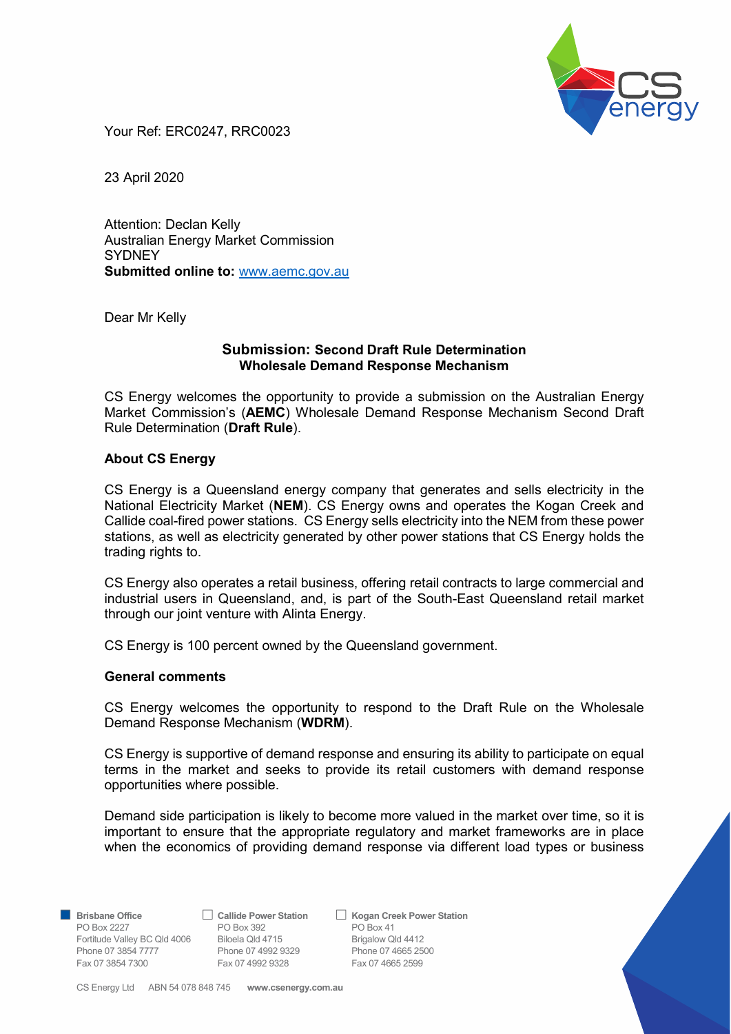

Your Ref: ERC0247, RRC0023

23 April 2020

Attention: Declan Kelly Australian Energy Market Commission **SYDNEY** Submitted online to: www.aemc.gov.au

Dear Mr Kelly

## Submission: Second Draft Rule Determination Wholesale Demand Response Mechanism

CS Energy welcomes the opportunity to provide a submission on the Australian Energy Market Commission's (**AEMC**) Wholesale Demand Response Mechanism Second Draft Rule Determination (Draft Rule).

### About CS Energy

CS Energy is a Queensland energy company that generates and sells electricity in the National Electricity Market (NEM). CS Energy owns and operates the Kogan Creek and Callide coal-fired power stations. CS Energy sells electricity into the NEM from these power stations, as well as electricity generated by other power stations that CS Energy holds the trading rights to.

CS Energy also operates a retail business, offering retail contracts to large commercial and industrial users in Queensland, and, is part of the South-East Queensland retail market through our joint venture with Alinta Energy.

CS Energy is 100 percent owned by the Queensland government.

#### General comments

CS Energy welcomes the opportunity to respond to the Draft Rule on the Wholesale Demand Response Mechanism (WDRM).

CS Energy is supportive of demand response and ensuring its ability to participate on equal terms in the market and seeks to provide its retail customers with demand response opportunities where possible.

Demand side participation is likely to become more valued in the market over time, so it is important to ensure that the appropriate regulatory and market frameworks are in place when the economics of providing demand response via different load types or business

PO Box 2227 **PO Box 392** PO Box 41 Fortitude Valley BC Qld 4006 Biloela Qld 4715 Brigalow Qld 4412 Phone 07 3854 7777 Phone 07 4992 9329 Phone 07 4665 2500<br>
Fax 07 3854 7300 Fax 07 4992 9328 Fax 07 4665 2599 Fax 07 3854 7300 Fax 07 4992 9328

Brisbane Office 
△ Callide Power Station △ Kogan Creek Power Station

CS Energy Ltd ABN 54 078 848 745 www.csenergy.com.au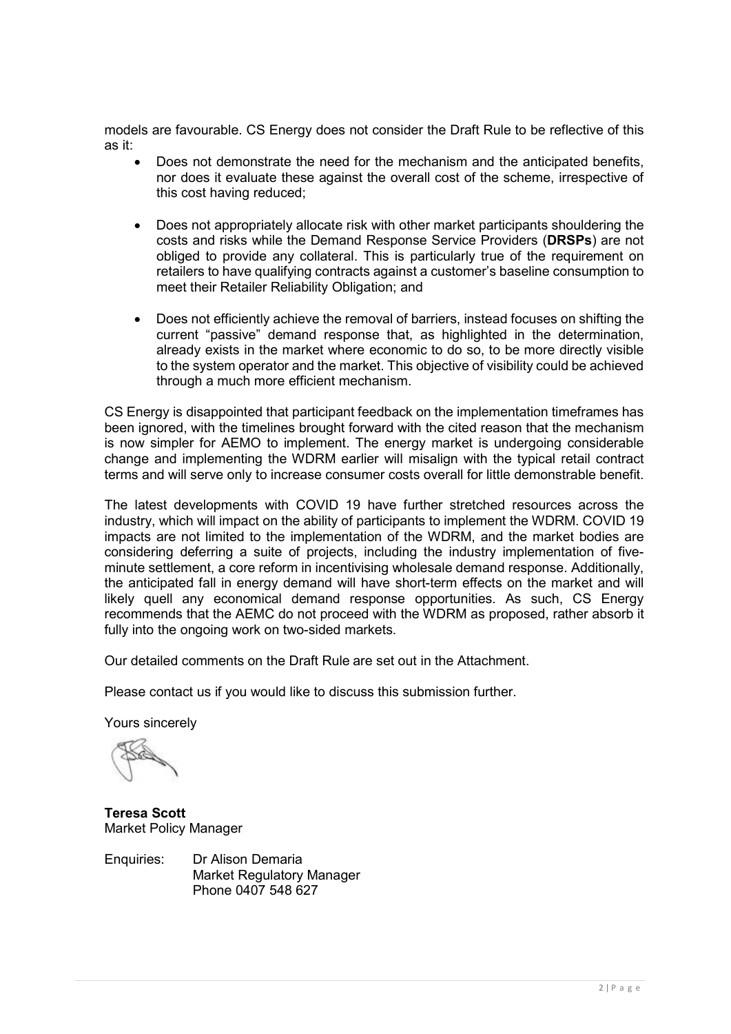models are favourable. CS Energy does not consider the Draft Rule to be reflective of this as it:

- Does not demonstrate the need for the mechanism and the anticipated benefits, nor does it evaluate these against the overall cost of the scheme, irrespective of this cost having reduced;
- Does not appropriately allocate risk with other market participants shouldering the costs and risks while the Demand Response Service Providers (DRSPs) are not obliged to provide any collateral. This is particularly true of the requirement on retailers to have qualifying contracts against a customer's baseline consumption to meet their Retailer Reliability Obligation; and
- Does not efficiently achieve the removal of barriers, instead focuses on shifting the current "passive" demand response that, as highlighted in the determination, already exists in the market where economic to do so, to be more directly visible to the system operator and the market. This objective of visibility could be achieved through a much more efficient mechanism.

CS Energy is disappointed that participant feedback on the implementation timeframes has been ignored, with the timelines brought forward with the cited reason that the mechanism is now simpler for AEMO to implement. The energy market is undergoing considerable change and implementing the WDRM earlier will misalign with the typical retail contract terms and will serve only to increase consumer costs overall for little demonstrable benefit.

The latest developments with COVID 19 have further stretched resources across the industry, which will impact on the ability of participants to implement the WDRM. COVID 19 impacts are not limited to the implementation of the WDRM, and the market bodies are considering deferring a suite of projects, including the industry implementation of fiveminute settlement, a core reform in incentivising wholesale demand response. Additionally, the anticipated fall in energy demand will have short-term effects on the market and will likely quell any economical demand response opportunities. As such, CS Energy recommends that the AEMC do not proceed with the WDRM as proposed, rather absorb it fully into the ongoing work on two-sided markets.

Our detailed comments on the Draft Rule are set out in the Attachment.

Please contact us if you would like to discuss this submission further.

Yours sincerely

Teresa Scott Market Policy Manager

Enquiries: Dr Alison Demaria Market Regulatory Manager Phone 0407 548 627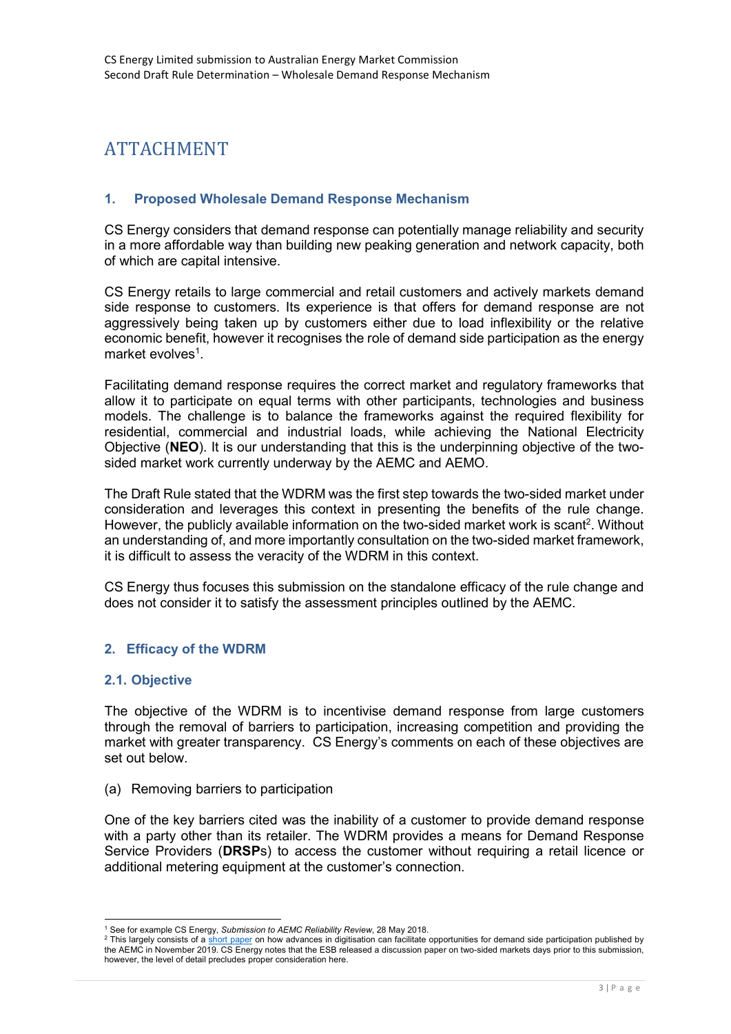# ATTACHMENT

# 1. Proposed Wholesale Demand Response Mechanism

CS Energy considers that demand response can potentially manage reliability and security in a more affordable way than building new peaking generation and network capacity, both of which are capital intensive.

CS Energy retails to large commercial and retail customers and actively markets demand side response to customers. Its experience is that offers for demand response are not aggressively being taken up by customers either due to load inflexibility or the relative economic benefit, however it recognises the role of demand side participation as the energy market evolves<sup>1</sup>.

Facilitating demand response requires the correct market and regulatory frameworks that allow it to participate on equal terms with other participants, technologies and business models. The challenge is to balance the frameworks against the required flexibility for residential, commercial and industrial loads, while achieving the National Electricity Objective (NEO). It is our understanding that this is the underpinning objective of the twosided market work currently underway by the AEMC and AEMO.

The Draft Rule stated that the WDRM was the first step towards the two-sided market under consideration and leverages this context in presenting the benefits of the rule change. However, the publicly available information on the two-sided market work is scant<sup>2</sup>. Without an understanding of, and more importantly consultation on the two-sided market framework, it is difficult to assess the veracity of the WDRM in this context.

CS Energy thus focuses this submission on the standalone efficacy of the rule change and does not consider it to satisfy the assessment principles outlined by the AEMC.

# 2. Efficacy of the WDRM

#### 2.1. Objective

The objective of the WDRM is to incentivise demand response from large customers through the removal of barriers to participation, increasing competition and providing the market with greater transparency. CS Energy's comments on each of these objectives are set out below.

#### (a) Removing barriers to participation

One of the key barriers cited was the inability of a customer to provide demand response with a party other than its retailer. The WDRM provides a means for Demand Response Service Providers (DRSPs) to access the customer without requiring a retail licence or additional metering equipment at the customer's connection.

<sup>-</sup><sup>1</sup> See for example CS Energy, Submission to AEMC Reliability Review, 28 May 2018.

 $^2$  This largely consists of a <u>short paper</u> on how advances in digitisation can facilitate opportunities for demand side participation published by the AEMC in November 2019. CS Energy notes that the ESB released a discussion paper on two-sided markets days prior to this submission, however, the level of detail precludes proper consideration here.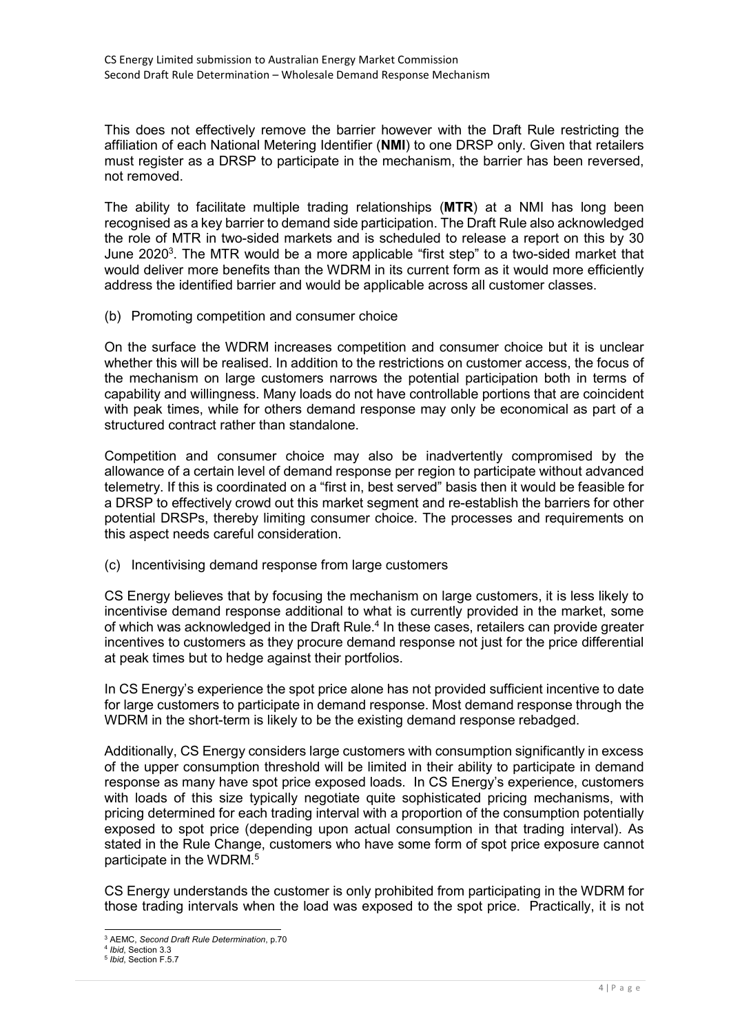This does not effectively remove the barrier however with the Draft Rule restricting the affiliation of each National Metering Identifier (NMI) to one DRSP only. Given that retailers must register as a DRSP to participate in the mechanism, the barrier has been reversed, not removed.

The ability to facilitate multiple trading relationships (MTR) at a NMI has long been recognised as a key barrier to demand side participation. The Draft Rule also acknowledged the role of MTR in two-sided markets and is scheduled to release a report on this by 30 June 2020<sup>3</sup>. The MTR would be a more applicable "first step" to a two-sided market that would deliver more benefits than the WDRM in its current form as it would more efficiently address the identified barrier and would be applicable across all customer classes.

(b) Promoting competition and consumer choice

On the surface the WDRM increases competition and consumer choice but it is unclear whether this will be realised. In addition to the restrictions on customer access, the focus of the mechanism on large customers narrows the potential participation both in terms of capability and willingness. Many loads do not have controllable portions that are coincident with peak times, while for others demand response may only be economical as part of a structured contract rather than standalone.

Competition and consumer choice may also be inadvertently compromised by the allowance of a certain level of demand response per region to participate without advanced telemetry. If this is coordinated on a "first in, best served" basis then it would be feasible for a DRSP to effectively crowd out this market segment and re-establish the barriers for other potential DRSPs, thereby limiting consumer choice. The processes and requirements on this aspect needs careful consideration.

(c) Incentivising demand response from large customers

CS Energy believes that by focusing the mechanism on large customers, it is less likely to incentivise demand response additional to what is currently provided in the market, some of which was acknowledged in the Draft Rule.<sup>4</sup> In these cases, retailers can provide greater incentives to customers as they procure demand response not just for the price differential at peak times but to hedge against their portfolios.

In CS Energy's experience the spot price alone has not provided sufficient incentive to date for large customers to participate in demand response. Most demand response through the WDRM in the short-term is likely to be the existing demand response rebadged.

Additionally, CS Energy considers large customers with consumption significantly in excess of the upper consumption threshold will be limited in their ability to participate in demand response as many have spot price exposed loads. In CS Energy's experience, customers with loads of this size typically negotiate quite sophisticated pricing mechanisms, with pricing determined for each trading interval with a proportion of the consumption potentially exposed to spot price (depending upon actual consumption in that trading interval). As stated in the Rule Change, customers who have some form of spot price exposure cannot participate in the WDRM.<sup>5</sup>

CS Energy understands the customer is only prohibited from participating in the WDRM for those trading intervals when the load was exposed to the spot price. Practically, it is not

<sup>-</sup><sup>3</sup> AEMC, Second Draft Rule Determination, p.70

<sup>&</sup>lt;sup>4</sup> Ibid, Section 3.3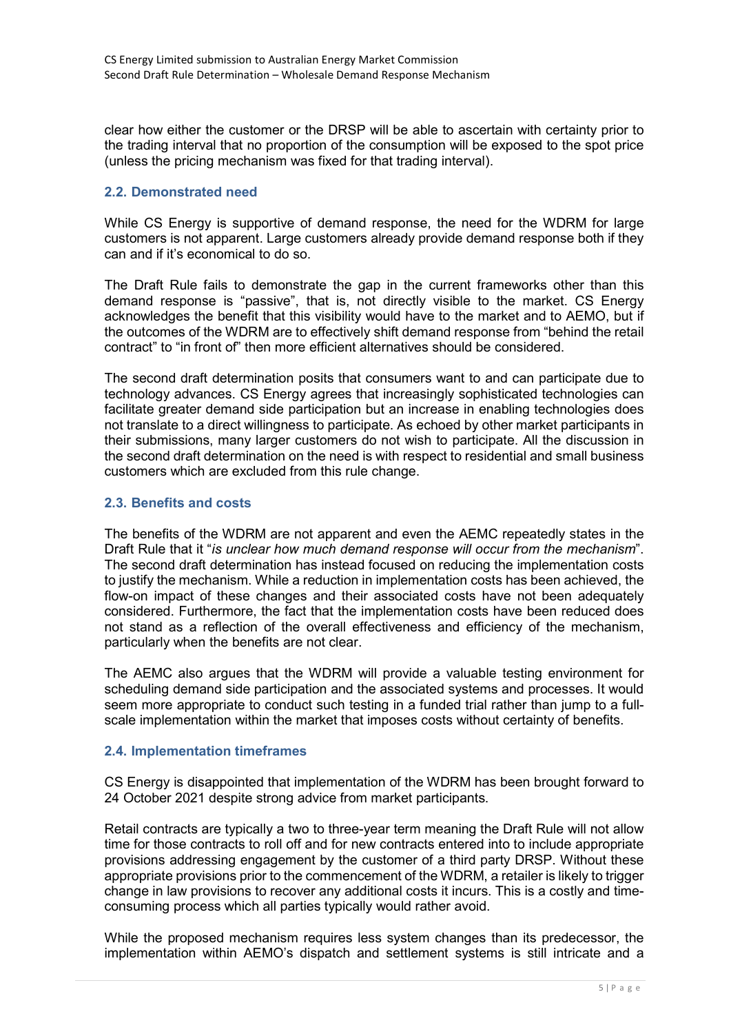clear how either the customer or the DRSP will be able to ascertain with certainty prior to the trading interval that no proportion of the consumption will be exposed to the spot price (unless the pricing mechanism was fixed for that trading interval).

## 2.2. Demonstrated need

While CS Energy is supportive of demand response, the need for the WDRM for large customers is not apparent. Large customers already provide demand response both if they can and if it's economical to do so.

The Draft Rule fails to demonstrate the gap in the current frameworks other than this demand response is "passive", that is, not directly visible to the market. CS Energy acknowledges the benefit that this visibility would have to the market and to AEMO, but if the outcomes of the WDRM are to effectively shift demand response from "behind the retail contract" to "in front of" then more efficient alternatives should be considered.

The second draft determination posits that consumers want to and can participate due to technology advances. CS Energy agrees that increasingly sophisticated technologies can facilitate greater demand side participation but an increase in enabling technologies does not translate to a direct willingness to participate. As echoed by other market participants in their submissions, many larger customers do not wish to participate. All the discussion in the second draft determination on the need is with respect to residential and small business customers which are excluded from this rule change.

### 2.3. Benefits and costs

The benefits of the WDRM are not apparent and even the AEMC repeatedly states in the Draft Rule that it "is unclear how much demand response will occur from the mechanism". The second draft determination has instead focused on reducing the implementation costs to justify the mechanism. While a reduction in implementation costs has been achieved, the flow-on impact of these changes and their associated costs have not been adequately considered. Furthermore, the fact that the implementation costs have been reduced does not stand as a reflection of the overall effectiveness and efficiency of the mechanism, particularly when the benefits are not clear.

The AEMC also argues that the WDRM will provide a valuable testing environment for scheduling demand side participation and the associated systems and processes. It would seem more appropriate to conduct such testing in a funded trial rather than jump to a fullscale implementation within the market that imposes costs without certainty of benefits.

# 2.4. Implementation timeframes

CS Energy is disappointed that implementation of the WDRM has been brought forward to 24 October 2021 despite strong advice from market participants.

Retail contracts are typically a two to three-year term meaning the Draft Rule will not allow time for those contracts to roll off and for new contracts entered into to include appropriate provisions addressing engagement by the customer of a third party DRSP. Without these appropriate provisions prior to the commencement of the WDRM, a retailer is likely to trigger change in law provisions to recover any additional costs it incurs. This is a costly and timeconsuming process which all parties typically would rather avoid.

While the proposed mechanism requires less system changes than its predecessor, the implementation within AEMO's dispatch and settlement systems is still intricate and a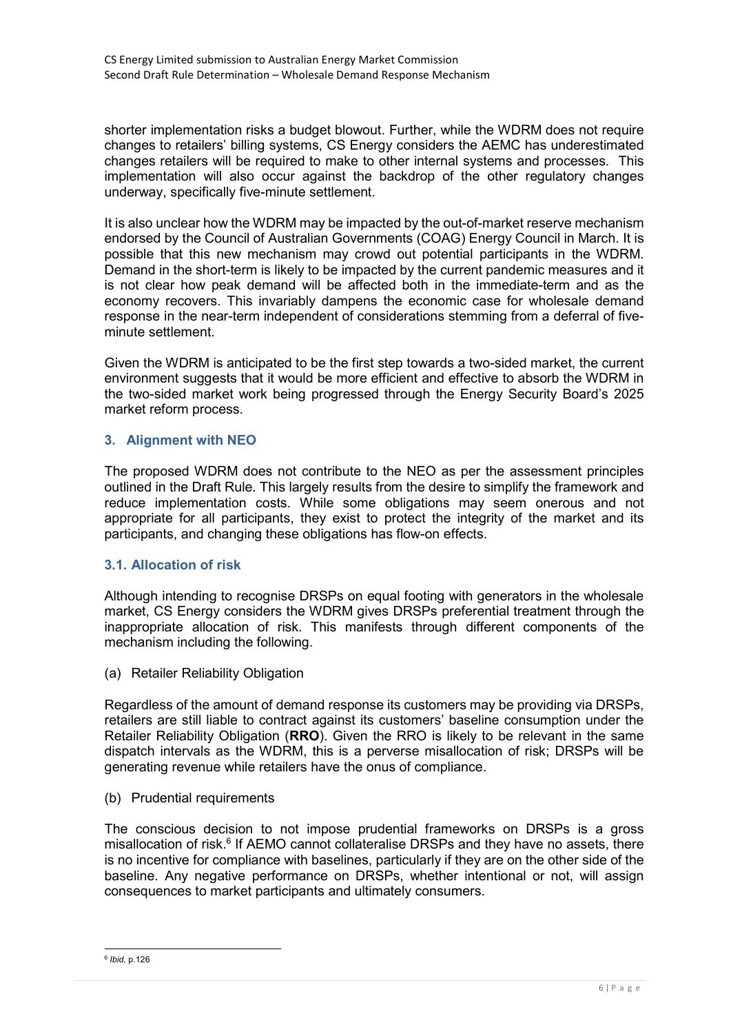shorter implementation risks a budget blowout. Further, while the WDRM does not require changes to retailers' billing systems, CS Energy considers the AEMC has underestimated changes retailers will be required to make to other internal systems and processes. This implementation will also occur against the backdrop of the other regulatory changes underway, specifically five-minute settlement.

It is also unclear how the WDRM may be impacted by the out-of-market reserve mechanism endorsed by the Council of Australian Governments (COAG) Energy Council in March. It is possible that this new mechanism may crowd out potential participants in the WDRM. Demand in the short-term is likely to be impacted by the current pandemic measures and it is not clear how peak demand will be affected both in the immediate-term and as the economy recovers. This invariably dampens the economic case for wholesale demand response in the near-term independent of considerations stemming from a deferral of fiveminute settlement.

Given the WDRM is anticipated to be the first step towards a two-sided market, the current environment suggests that it would be more efficient and effective to absorb the WDRM in the two-sided market work being progressed through the Energy Security Board's 2025 market reform process.

# 3. Alignment with NEO

The proposed WDRM does not contribute to the NEO as per the assessment principles outlined in the Draft Rule. This largely results from the desire to simplify the framework and reduce implementation costs. While some obligations may seem onerous and not appropriate for all participants, they exist to protect the integrity of the market and its participants, and changing these obligations has flow-on effects.

# 3.1. Allocation of risk

Although intending to recognise DRSPs on equal footing with generators in the wholesale market, CS Energy considers the WDRM gives DRSPs preferential treatment through the inappropriate allocation of risk. This manifests through different components of the mechanism including the following.

(a) Retailer Reliability Obligation

Regardless of the amount of demand response its customers may be providing via DRSPs, retailers are still liable to contract against its customers' baseline consumption under the Retailer Reliability Obligation (RRO). Given the RRO is likely to be relevant in the same dispatch intervals as the WDRM, this is a perverse misallocation of risk; DRSPs will be generating revenue while retailers have the onus of compliance.

(b) Prudential requirements

The conscious decision to not impose prudential frameworks on DRSPs is a gross misallocation of risk.<sup>6</sup> If AEMO cannot collateralise DRSPs and they have no assets, there is no incentive for compliance with baselines, particularly if they are on the other side of the baseline. Any negative performance on DRSPs, whether intentional or not, will assign consequences to market participants and ultimately consumers.

<sup>&</sup>lt;u>.</u><br><sup>6</sup> Ibid, p.126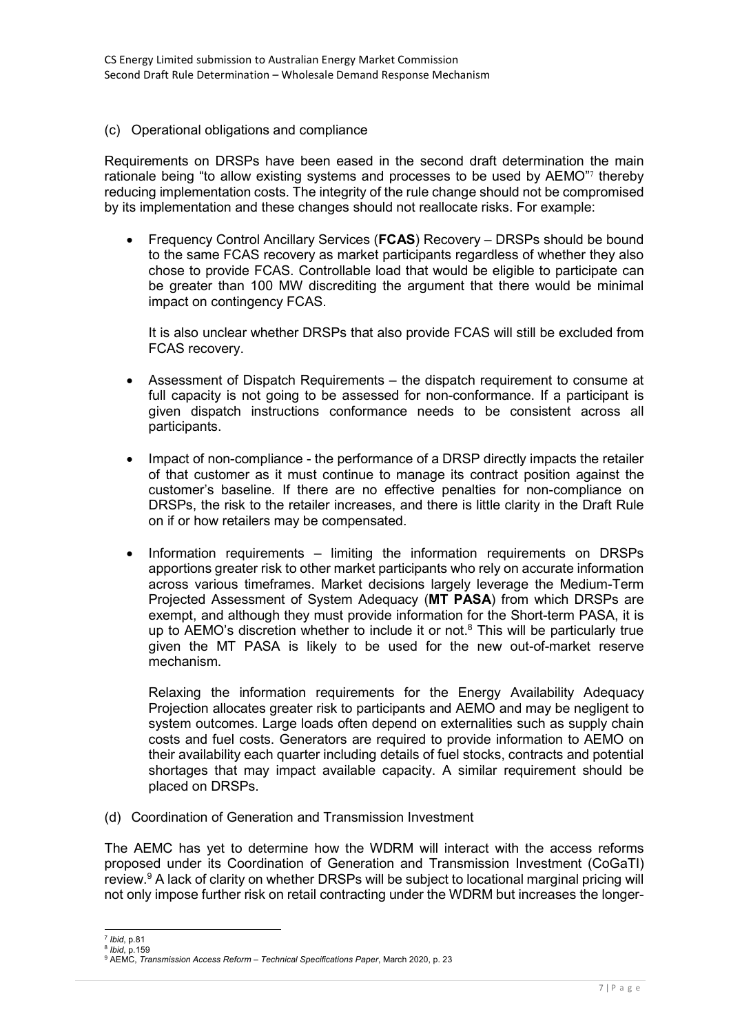(c) Operational obligations and compliance

Requirements on DRSPs have been eased in the second draft determination the main rationale being "to allow existing systems and processes to be used by AEMO"7 thereby reducing implementation costs. The integrity of the rule change should not be compromised by its implementation and these changes should not reallocate risks. For example:

 Frequency Control Ancillary Services (FCAS) Recovery – DRSPs should be bound to the same FCAS recovery as market participants regardless of whether they also chose to provide FCAS. Controllable load that would be eligible to participate can be greater than 100 MW discrediting the argument that there would be minimal impact on contingency FCAS.

It is also unclear whether DRSPs that also provide FCAS will still be excluded from FCAS recovery.

- Assessment of Dispatch Requirements the dispatch requirement to consume at full capacity is not going to be assessed for non-conformance. If a participant is given dispatch instructions conformance needs to be consistent across all participants.
- Impact of non-compliance the performance of a DRSP directly impacts the retailer of that customer as it must continue to manage its contract position against the customer's baseline. If there are no effective penalties for non-compliance on DRSPs, the risk to the retailer increases, and there is little clarity in the Draft Rule on if or how retailers may be compensated.
- Information requirements limiting the information requirements on DRSPs apportions greater risk to other market participants who rely on accurate information across various timeframes. Market decisions largely leverage the Medium-Term Projected Assessment of System Adequacy (MT PASA) from which DRSPs are exempt, and although they must provide information for the Short-term PASA, it is up to AEMO's discretion whether to include it or not. $8$  This will be particularly true given the MT PASA is likely to be used for the new out-of-market reserve mechanism.

Relaxing the information requirements for the Energy Availability Adequacy Projection allocates greater risk to participants and AEMO and may be negligent to system outcomes. Large loads often depend on externalities such as supply chain costs and fuel costs. Generators are required to provide information to AEMO on their availability each quarter including details of fuel stocks, contracts and potential shortages that may impact available capacity. A similar requirement should be placed on DRSPs.

(d) Coordination of Generation and Transmission Investment

The AEMC has yet to determine how the WDRM will interact with the access reforms proposed under its Coordination of Generation and Transmission Investment (CoGaTI) review.<sup>9</sup> A lack of clarity on whether DRSPs will be subject to locational marginal pricing will not only impose further risk on retail contracting under the WDRM but increases the longer-

<sup>-</sup>7 Ibid, p.81

<sup>&</sup>lt;sup>8</sup> Ibid, p.159

<sup>&</sup>lt;sup>9</sup> AEMC, Transmission Access Reform – Technical Specifications Paper, March 2020, p. 23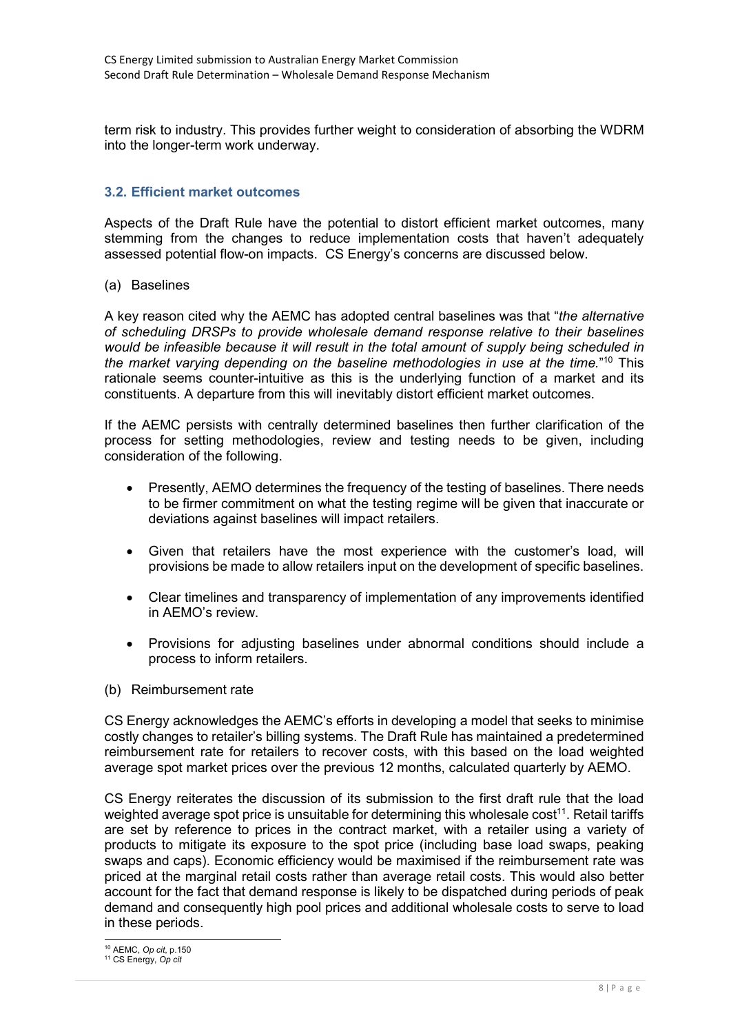term risk to industry. This provides further weight to consideration of absorbing the WDRM into the longer-term work underway.

# 3.2. Efficient market outcomes

Aspects of the Draft Rule have the potential to distort efficient market outcomes, many stemming from the changes to reduce implementation costs that haven't adequately assessed potential flow-on impacts. CS Energy's concerns are discussed below.

(a) Baselines

A key reason cited why the AEMC has adopted central baselines was that "the alternative of scheduling DRSPs to provide wholesale demand response relative to their baselines would be infeasible because it will result in the total amount of supply being scheduled in the market varying depending on the baseline methodologies in use at the time."<sup>10</sup> This rationale seems counter-intuitive as this is the underlying function of a market and its constituents. A departure from this will inevitably distort efficient market outcomes.

If the AEMC persists with centrally determined baselines then further clarification of the process for setting methodologies, review and testing needs to be given, including consideration of the following.

- Presently, AEMO determines the frequency of the testing of baselines. There needs to be firmer commitment on what the testing regime will be given that inaccurate or deviations against baselines will impact retailers.
- Given that retailers have the most experience with the customer's load, will provisions be made to allow retailers input on the development of specific baselines.
- Clear timelines and transparency of implementation of any improvements identified in AEMO's review.
- Provisions for adjusting baselines under abnormal conditions should include a process to inform retailers.
- (b) Reimbursement rate

CS Energy acknowledges the AEMC's efforts in developing a model that seeks to minimise costly changes to retailer's billing systems. The Draft Rule has maintained a predetermined reimbursement rate for retailers to recover costs, with this based on the load weighted average spot market prices over the previous 12 months, calculated quarterly by AEMO.

CS Energy reiterates the discussion of its submission to the first draft rule that the load weighted average spot price is unsuitable for determining this wholesale cost<sup>11</sup>. Retail tariffs are set by reference to prices in the contract market, with a retailer using a variety of products to mitigate its exposure to the spot price (including base load swaps, peaking swaps and caps). Economic efficiency would be maximised if the reimbursement rate was priced at the marginal retail costs rather than average retail costs. This would also better account for the fact that demand response is likely to be dispatched during periods of peak demand and consequently high pool prices and additional wholesale costs to serve to load in these periods.

<sup>-</sup><sup>10</sup> AEMC, Op cit, p.150

<sup>11</sup> CS Energy, Op cit